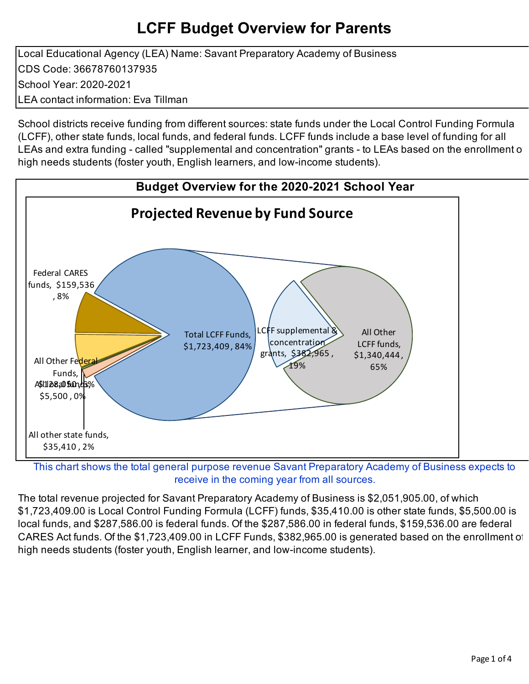Local Educational Agency (LEA) Name: Savant Preparatory Academy of Business CDS Code: 36678760137935 School Year: 2020-2021 LEA contact information: Eva Tillman

School districts receive funding from different sources: state funds under the Local Control Funding Formula (LCFF), other state funds, local funds, and federal funds. LCFF funds include a base level of funding for all LEAs and extra funding - called "supplemental and concentration" grants - to LEAs based on the enrollment of high needs students (foster youth, English learners, and low-income students).



This chart shows the total general purpose revenue Savant Preparatory Academy of Business expects to receive in the coming year from all sources.

The total revenue projected for Savant Preparatory Academy of Business is \$2,051,905.00, of which \$1,723,409.00 is Local Control Funding Formula (LCFF) funds, \$35,410.00 is other state funds, \$5,500.00 is local funds, and \$287,586.00 is federal funds. Of the \$287,586.00 in federal funds, \$159,536.00 are federal CARES Act funds. Of the \$1,723,409.00 in LCFF Funds, \$382,965.00 is generated based on the enrollment of high needs students (foster youth, English learner, and low-income students).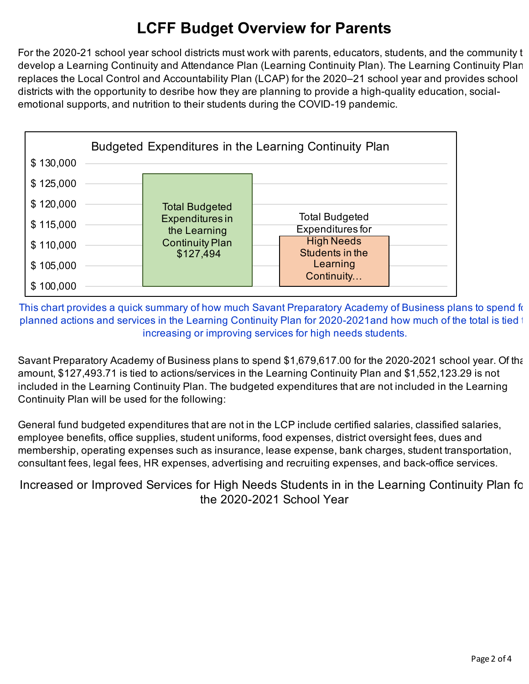For the 2020-21 school year school districts must work with parents, educators, students, and the community to develop a Learning Continuity and Attendance Plan (Learning Continuity Plan). The Learning Continuity Plan replaces the Local Control and Accountability Plan (LCAP) for the 2020–21 school year and provides school districts with the opportunity to desribe how they are planning to provide a high-quality education, socialemotional supports, and nutrition to their students during the COVID-19 pandemic.



This chart provides a quick summary of how much Savant Preparatory Academy of Business plans to spend for planned actions and services in the Learning Continuity Plan for 2020-2021and how much of the total is tied to increasing or improving services for high needs students.

Savant Preparatory Academy of Business plans to spend \$1,679,617.00 for the 2020-2021 school year. Of that amount, \$127,493.71 is tied to actions/services in the Learning Continuity Plan and \$1,552,123.29 is not included in the Learning Continuity Plan. The budgeted expenditures that are not included in the Learning Continuity Plan will be used for the following:

General fund budgeted expenditures that are not in the LCP include certified salaries, classified salaries, employee benefits, office supplies, student uniforms, food expenses, district oversight fees, dues and membership, operating expenses such as insurance, lease expense, bank charges, student transportation, consultant fees, legal fees, HR expenses, advertising and recruiting expenses, and back-office services.

Increased or Improved Services for High Needs Students in in the Learning Continuity Plan for the 2020-2021 School Year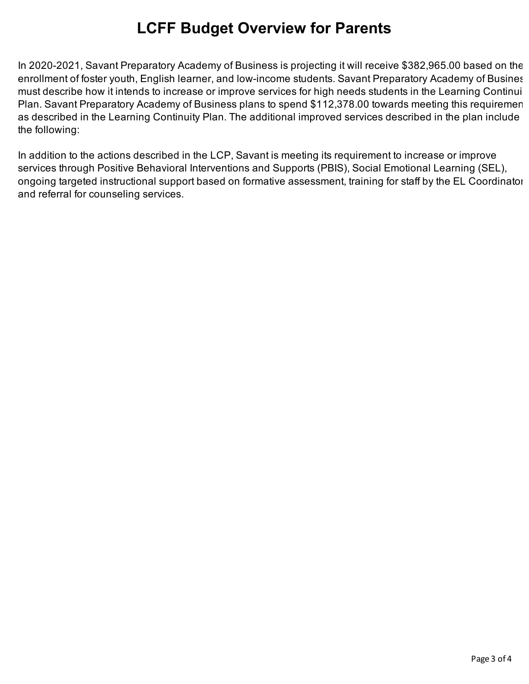In 2020-2021, Savant Preparatory Academy of Business is projecting it will receive \$382,965.00 based on the enrollment of foster youth, English learner, and low-income students. Savant Preparatory Academy of Busines must describe how it intends to increase or improve services for high needs students in the Learning Continuit Plan. Savant Preparatory Academy of Business plans to spend \$112,378.00 towards meeting this requiremen as described in the Learning Continuity Plan. The additional improved services described in the plan include the following:

In addition to the actions described in the LCP, Savant is meeting its requirement to increase or improve services through Positive Behavioral Interventions and Supports (PBIS), Social Emotional Learning (SEL), ongoing targeted instructional support based on formative assessment, training for staff by the EL Coordinator, and referral for counseling services.